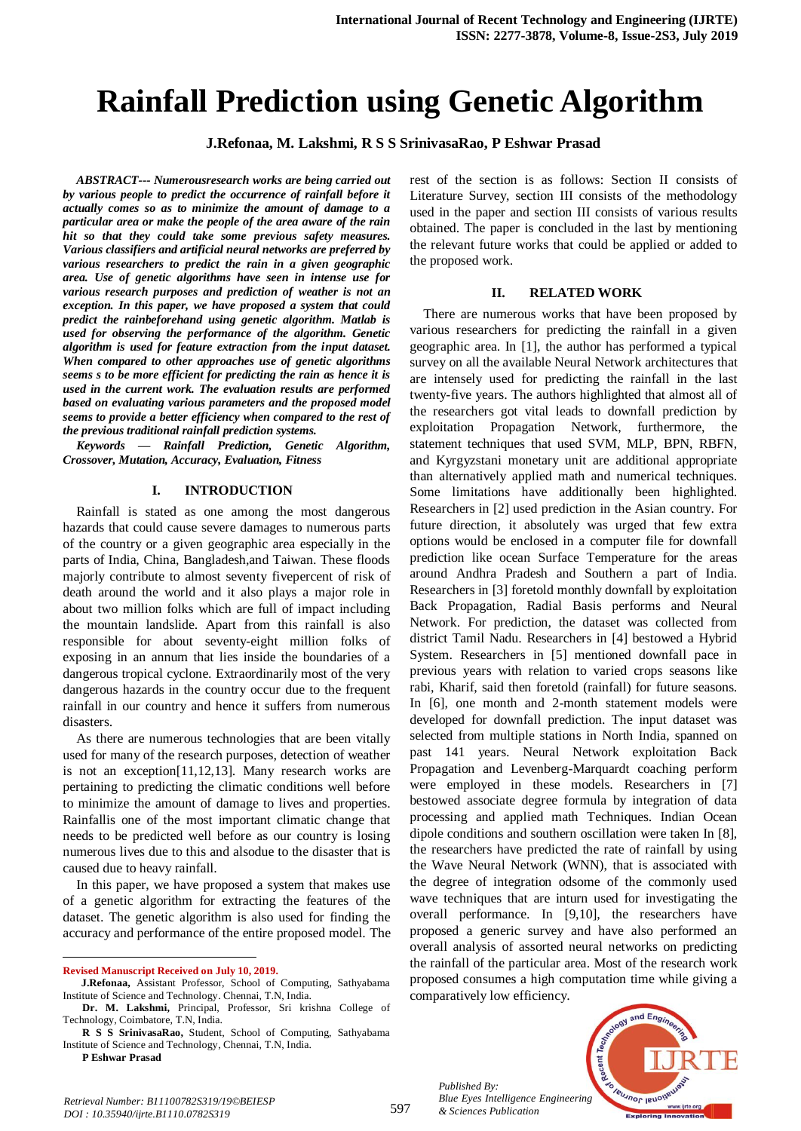# **Rainfall Prediction using Genetic Algorithm**

**J.Refonaa, M. Lakshmi, R S S SrinivasaRao, P Eshwar Prasad**

*ABSTRACT--- Numerousresearch works are being carried out by various people to predict the occurrence of rainfall before it actually comes so as to minimize the amount of damage to a particular area or make the people of the area aware of the rain hit so that they could take some previous safety measures. Various classifiers and artificial neural networks are preferred by various researchers to predict the rain in a given geographic area. Use of genetic algorithms have seen in intense use for various research purposes and prediction of weather is not an exception. In this paper, we have proposed a system that could predict the rainbeforehand using genetic algorithm. Matlab is used for observing the performance of the algorithm. Genetic algorithm is used for feature extraction from the input dataset. When compared to other approaches use of genetic algorithms seems s to be more efficient for predicting the rain as hence it is used in the current work. The evaluation results are performed based on evaluating various parameters and the proposed model seems to provide a better efficiency when compared to the rest of the previous traditional rainfall prediction systems.* 

*Keywords — Rainfall Prediction, Genetic Algorithm, Crossover, Mutation, Accuracy, Evaluation, Fitness*

#### **I. INTRODUCTION**

Rainfall is stated as one among the most dangerous hazards that could cause severe damages to numerous parts of the country or a given geographic area especially in the parts of India, China, Bangladesh,and Taiwan. These floods majorly contribute to almost seventy fivepercent of risk of death around the world and it also plays a major role in about two million folks which are full of impact including the mountain landslide. Apart from this rainfall is also responsible for about seventy-eight million folks of exposing in an annum that lies inside the boundaries of a dangerous tropical cyclone. Extraordinarily most of the very dangerous hazards in the country occur due to the frequent rainfall in our country and hence it suffers from numerous disasters.

As there are numerous technologies that are been vitally used for many of the research purposes, detection of weather is not an exception[11,12,13]. Many research works are pertaining to predicting the climatic conditions well before to minimize the amount of damage to lives and properties. Rainfallis one of the most important climatic change that needs to be predicted well before as our country is losing numerous lives due to this and alsodue to the disaster that is caused due to heavy rainfall.

In this paper, we have proposed a system that makes use of a genetic algorithm for extracting the features of the dataset. The genetic algorithm is also used for finding the accuracy and performance of the entire proposed model. The

**Revised Manuscript Received on July 10, 2019.**

 $\overline{a}$ 

rest of the section is as follows: Section II consists of Literature Survey, section III consists of the methodology used in the paper and section III consists of various results obtained. The paper is concluded in the last by mentioning the relevant future works that could be applied or added to the proposed work.

#### **II. RELATED WORK**

There are numerous works that have been proposed by various researchers for predicting the rainfall in a given geographic area. In [1], the author has performed a typical survey on all the available Neural Network architectures that are intensely used for predicting the rainfall in the last twenty-five years. The authors highlighted that almost all of the researchers got vital leads to downfall prediction by exploitation Propagation Network, furthermore, the statement techniques that used SVM, MLP, BPN, RBFN, and Kyrgyzstani monetary unit are additional appropriate than alternatively applied math and numerical techniques. Some limitations have additionally been highlighted. Researchers in [2] used prediction in the Asian country. For future direction, it absolutely was urged that few extra options would be enclosed in a computer file for downfall prediction like ocean Surface Temperature for the areas around Andhra Pradesh and Southern a part of India. Researchers in [3] foretold monthly downfall by exploitation Back Propagation, Radial Basis performs and Neural Network. For prediction, the dataset was collected from district Tamil Nadu. Researchers in [4] bestowed a Hybrid System. Researchers in [5] mentioned downfall pace in previous years with relation to varied crops seasons like rabi, Kharif, said then foretold (rainfall) for future seasons. In [6], one month and 2-month statement models were developed for downfall prediction. The input dataset was selected from multiple stations in North India, spanned on past 141 years. Neural Network exploitation Back Propagation and Levenberg-Marquardt coaching perform were employed in these models. Researchers in [7] bestowed associate degree formula by integration of data processing and applied math Techniques. Indian Ocean dipole conditions and southern oscillation were taken In [8], the researchers have predicted the rate of rainfall by using the Wave Neural Network (WNN), that is associated with the degree of integration odsome of the commonly used wave techniques that are inturn used for investigating the overall performance. In [9,10], the researchers have proposed a generic survey and have also performed an overall analysis of assorted neural networks on predicting the rainfall of the particular area. Most of the research work proposed consumes a high computation time while giving a comparatively low efficiency.

*& Sciences Publication* 

*Published By:*



*Retrieval Number: B11100782S319/19©BEIESP DOI : 10.35940/ijrte.B1110.0782S319*

**J.Refonaa,** Assistant Professor, School of Computing, Sathyabama Institute of Science and Technology. Chennai, T.N, India.

**Dr. M. Lakshmi,** Principal, Professor, Sri krishna College of Technology, Coimbatore, T.N, India.

**R S S SrinivasaRao,** Student, School of Computing, Sathyabama Institute of Science and Technology, Chennai, T.N, India.

**P Eshwar Prasad**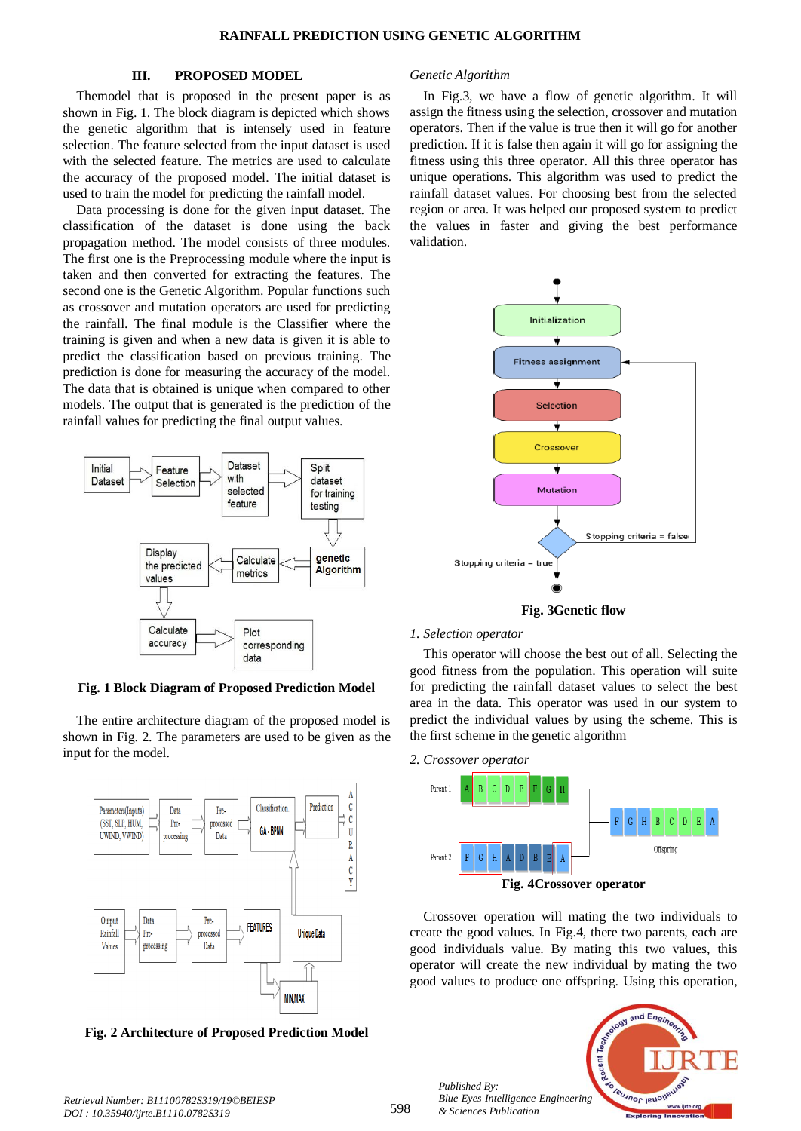## **III. PROPOSED MODEL**

Themodel that is proposed in the present paper is as shown in Fig. 1. The block diagram is depicted which shows the genetic algorithm that is intensely used in feature selection. The feature selected from the input dataset is used with the selected feature. The metrics are used to calculate the accuracy of the proposed model. The initial dataset is used to train the model for predicting the rainfall model.

Data processing is done for the given input dataset. The classification of the dataset is done using the back propagation method. The model consists of three modules. The first one is the Preprocessing module where the input is taken and then converted for extracting the features. The second one is the Genetic Algorithm. Popular functions such as crossover and mutation operators are used for predicting the rainfall. The final module is the Classifier where the training is given and when a new data is given it is able to predict the classification based on previous training. The prediction is done for measuring the accuracy of the model. The data that is obtained is unique when compared to other models. The output that is generated is the prediction of the rainfall values for predicting the final output values.



**Fig. 1 Block Diagram of Proposed Prediction Model**

The entire architecture diagram of the proposed model is shown in Fig. 2. The parameters are used to be given as the input for the model.



**Fig. 2 Architecture of Proposed Prediction Model**

## *Genetic Algorithm*

In Fig.3, we have a flow of genetic algorithm. It will assign the fitness using the selection, crossover and mutation operators. Then if the value is true then it will go for another prediction. If it is false then again it will go for assigning the fitness using this three operator. All this three operator has unique operations. This algorithm was used to predict the rainfall dataset values. For choosing best from the selected region or area. It was helped our proposed system to predict the values in faster and giving the best performance validation.



#### *1. Selection operator*

This operator will choose the best out of all. Selecting the good fitness from the population. This operation will suite for predicting the rainfall dataset values to select the best area in the data. This operator was used in our system to predict the individual values by using the scheme. This is the first scheme in the genetic algorithm



*Published By:*

*& Sciences Publication* 



Crossover operation will mating the two individuals to create the good values. In Fig.4, there two parents, each are good individuals value. By mating this two values, this operator will create the new individual by mating the two good values to produce one offspring. Using this operation,

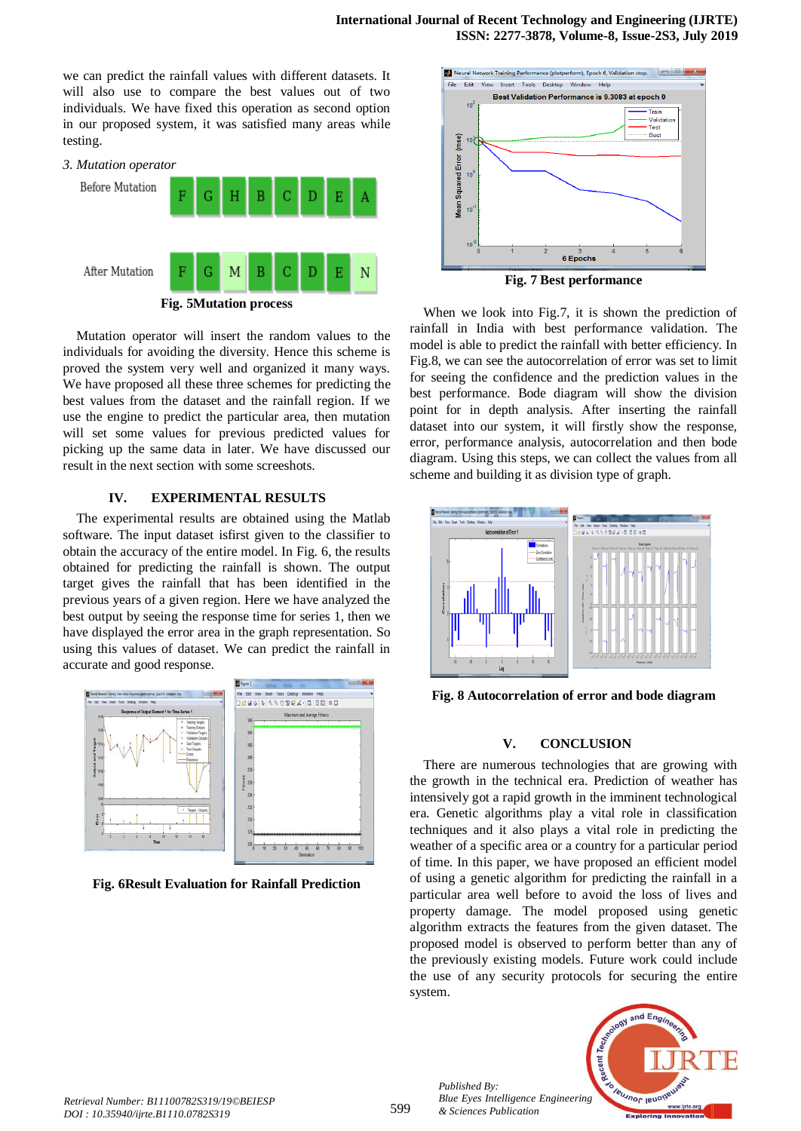we can predict the rainfall values with different datasets. It will also use to compare the best values out of two individuals. We have fixed this operation as second option in our proposed system, it was satisfied many areas while testing.



Mutation operator will insert the random values to the individuals for avoiding the diversity. Hence this scheme is proved the system very well and organized it many ways. We have proposed all these three schemes for predicting the best values from the dataset and the rainfall region. If we use the engine to predict the particular area, then mutation will set some values for previous predicted values for picking up the same data in later. We have discussed our result in the next section with some screeshots.

# **IV. EXPERIMENTAL RESULTS**

The experimental results are obtained using the Matlab software. The input dataset isfirst given to the classifier to obtain the accuracy of the entire model. In Fig. 6, the results obtained for predicting the rainfall is shown. The output target gives the rainfall that has been identified in the previous years of a given region. Here we have analyzed the best output by seeing the response time for series 1, then we have displayed the error area in the graph representation. So using this values of dataset. We can predict the rainfall in accurate and good response.



**Fig. 6Result Evaluation for Rainfall Prediction**



When we look into Fig.7, it is shown the prediction of rainfall in India with best performance validation. The model is able to predict the rainfall with better efficiency. In Fig.8, we can see the autocorrelation of error was set to limit for seeing the confidence and the prediction values in the best performance. Bode diagram will show the division point for in depth analysis. After inserting the rainfall dataset into our system, it will firstly show the response, error, performance analysis, autocorrelation and then bode diagram. Using this steps, we can collect the values from all scheme and building it as division type of graph.



**Fig. 8 Autocorrelation of error and bode diagram**

# **V. CONCLUSION**

There are numerous technologies that are growing with the growth in the technical era. Prediction of weather has intensively got a rapid growth in the imminent technological era. Genetic algorithms play a vital role in classification techniques and it also plays a vital role in predicting the weather of a specific area or a country for a particular period of time. In this paper, we have proposed an efficient model of using a genetic algorithm for predicting the rainfall in a particular area well before to avoid the loss of lives and property damage. The model proposed using genetic algorithm extracts the features from the given dataset. The proposed model is observed to perform better than any of the previously existing models. Future work could include the use of any security protocols for securing the entire system.



*Published By:*

*& Sciences Publication*